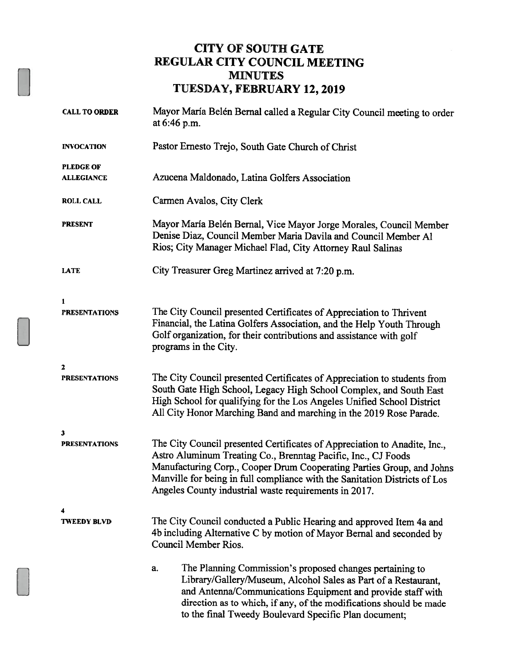## CITY OF SOUTH GATE REGULAR CITY COUNCIL MEETING MINUTES TUESDAY, FEBRUARY 12,2019

| <b>CALL TO ORDER</b> | Mayor María Belén Bernal called a Regular City Council meeting to order<br>at 6:46 p.m.                                                                                                                                                                                                                                                                    |  |  |
|----------------------|------------------------------------------------------------------------------------------------------------------------------------------------------------------------------------------------------------------------------------------------------------------------------------------------------------------------------------------------------------|--|--|
| <b>INVOCATION</b>    | Pastor Ernesto Trejo, South Gate Church of Christ                                                                                                                                                                                                                                                                                                          |  |  |
| <b>PLEDGE OF</b>     |                                                                                                                                                                                                                                                                                                                                                            |  |  |
| <b>ALLEGIANCE</b>    | Azucena Maldonado, Latina Golfers Association                                                                                                                                                                                                                                                                                                              |  |  |
| <b>ROLL CALL</b>     | Carmen Avalos, City Clerk                                                                                                                                                                                                                                                                                                                                  |  |  |
| <b>PRESENT</b>       | Mayor María Belén Bernal, Vice Mayor Jorge Morales, Council Member<br>Denise Diaz, Council Member Maria Davila and Council Member Al<br>Rios; City Manager Michael Flad, City Attorney Raul Salinas                                                                                                                                                        |  |  |
| <b>LATE</b>          | City Treasurer Greg Martinez arrived at 7:20 p.m.                                                                                                                                                                                                                                                                                                          |  |  |
| 1                    |                                                                                                                                                                                                                                                                                                                                                            |  |  |
| <b>PRESENTATIONS</b> | The City Council presented Certificates of Appreciation to Thrivent<br>Financial, the Latina Golfers Association, and the Help Youth Through<br>Golf organization, for their contributions and assistance with golf<br>programs in the City.                                                                                                               |  |  |
| 2                    |                                                                                                                                                                                                                                                                                                                                                            |  |  |
| <b>PRESENTATIONS</b> | The City Council presented Certificates of Appreciation to students from<br>South Gate High School, Legacy High School Complex, and South East<br>High School for qualifying for the Los Angeles Unified School District<br>All City Honor Marching Band and marching in the 2019 Rose Parade.                                                             |  |  |
| 3                    |                                                                                                                                                                                                                                                                                                                                                            |  |  |
| <b>PRESENTATIONS</b> | The City Council presented Certificates of Appreciation to Anadite, Inc.,<br>Astro Aluminum Treating Co., Brenntag Pacific, Inc., CJ Foods<br>Manufacturing Corp., Cooper Drum Cooperating Parties Group, and Johns<br>Manville for being in full compliance with the Sanitation Districts of Los<br>Angeles County industrial waste requirements in 2017. |  |  |
|                      |                                                                                                                                                                                                                                                                                                                                                            |  |  |
| TWEEDY BLVD          | The City Council conducted a Public Hearing and approved Item 4a and<br>4b including Alternative C by motion of Mayor Bernal and seconded by<br>Council Member Rios.                                                                                                                                                                                       |  |  |
|                      | The Planning Commission's proposed changes pertaining to<br>a.<br>Library/Gallery/Museum, Alcohol Sales as Part of a Restaurant,<br>and Antenna/Communications Equipment and provide staff with<br>direction as to which, if any, of the modifications should be made<br>to the final Tweedy Boulevard Specific Plan document;                             |  |  |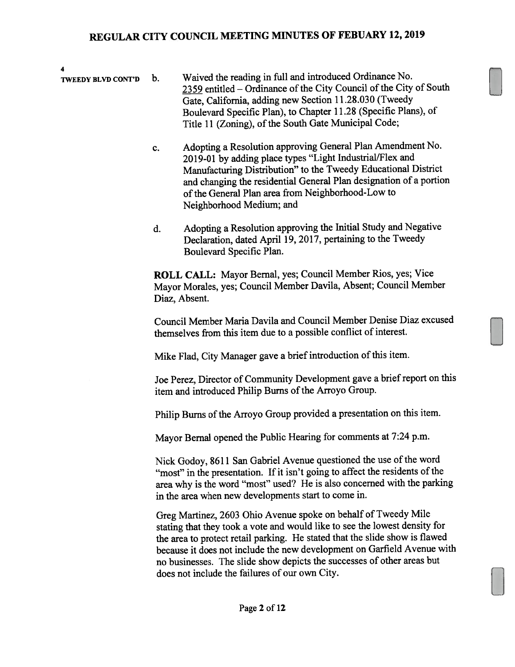4

- TWEEDY BLVD CONT'D b. Waived the reading in full and introduced Ordinance No. 2359 entitled – Ordinance of the City Council of the City of South Gate, California, adding new Section 11.28.030 (Tweedy Boulevard Specific Plan), to Chapter 11.28 (Specific Plans), of Title 11 (Zoning), of the South Gate Municipal Code;
	- c. Adopting <sup>a</sup> Resolution approving General Plan Amendment No. 2019-01 by adding place types "Light Industrial/Flex and Manufacturing Distribution" to the Tweedy Educational District and changing the residential General Plan designation of <sup>a</sup> portion of the General Plan area from Neighborhood-Low to Neighborhood Medium; and
	- d. Adopting <sup>a</sup> Resolution approving the Initial Study and Negative Declaration, dated April 19, 2017, pertaining to the Tweedy Boulevard Specific Plan.

ROLL CALL: Mayor Bernal, yes; Council Member Rios, yes; Vice Mayor Morales, yes; Council Member Davila, Absent; Council Member Diaz, Absent.

Council Member Maria Davila and Council Member Denise Diaz excused themselves from this item due to <sup>a</sup> possible conflict of interest.

Mike Flad, City Manager gave <sup>a</sup> brief introduction of this item.

Joe Perez, Director of Community Development gave a brief report on this item and introduced Philip Burns of the Arroyo Group.

Philip Bums of the Arroyo Group provided <sup>a</sup> presentation on this item.

Mayor Bernal opene<sup>d</sup> the Public Hearing for comments at 7:24 p.m.

Nick Godoy, 8611 San Gabriel Avenue questioned the use of the word "most" in the presentation. If it isn't going to affect the residents of the area why is the word "most" used? He is also concerned with the parking in the area when new developments start to come in.

Greg Martinez, <sup>2603</sup> Ohio Avenue spoke on behalf of Tweedy Mile stating that they took <sup>a</sup> vote and would like to see the lowest density for the area to protect retail parking. He stated that the slide show is flawed because it does not include the new development on Garfield Avenue with no businesses. The slide show depicts the successes of other areas but does not include the failures of our own City.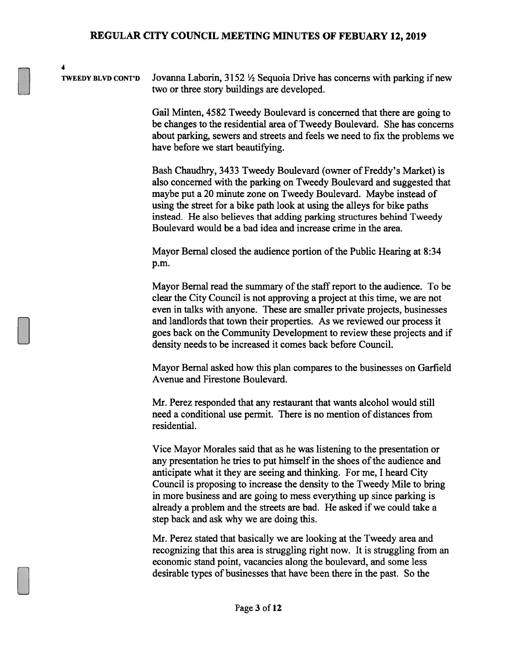TWEEDY BLVD CONT'D Jovanna Laborin,  $3152 \frac{1}{2}$  Sequoia Drive has concerns with parking if new two or three story buildings are developed.

4

Gail Minten, 4582 Tweedy Boulevard is concerned that there are going to be changes to the residential area of Tweedy Boulevard. She has concerns about parking, sewers and streets and feels we need to fix the problems we have before we start beautifying.

Bash Chaudhry, 3433 Tweedy Boulevard (owner of Freddy's Market) is also concerned with the parking on Tweedy Boulevard and suggested that maybe put a 20 minute zone on Tweedy Boulevard. Maybe instead of using the street for a bike path look at using the alleys for bike paths instead. He also believes that adding parking structures behind Tweedy Boulevard would be a bad idea and increase crime in the area.

Mayor Bernal closed the audience portion of the Public Hearing at 8:34 p.m.

Mayor Bernal read the summary of the staff report to the audience. To be clear the City Council is not approving a project at this time, we are not even in talks with anyone. These are smaller private projects, businesses and landlords that town their properties. As we reviewed our process it goes back on the Community Development to review these projects and if density needs to be increased it comes back before Council.

Mayor Bernal asked how this plan compares to the businesses on Garfield Avenue and Firestone Boulevard.

Mr. Perez responded that any restaurant that wants alcohol would still need a conditional use permit. There is no mention of distances from residential.

Vice Mayor Morales said that as he was listening to the presentation or any presentation he tries to put himself in the shoes of the audience and anticipate what it they are seeing and thinking. For me, I heard City Council is proposing to increase the density to the Tweedy Mile to bring in more business and are going to mess everything up since parking is already a problem and the streets are bad. He asked if we could take a step back and ask why we are doing this.

Mr. Perez stated that basically we are looking at the Tweedy area and recognizing that this area is struggling right now. It is struggling from an economic stand point, vacancies along the boulevard, and some less desirable types of businesses that have been there in the past. So the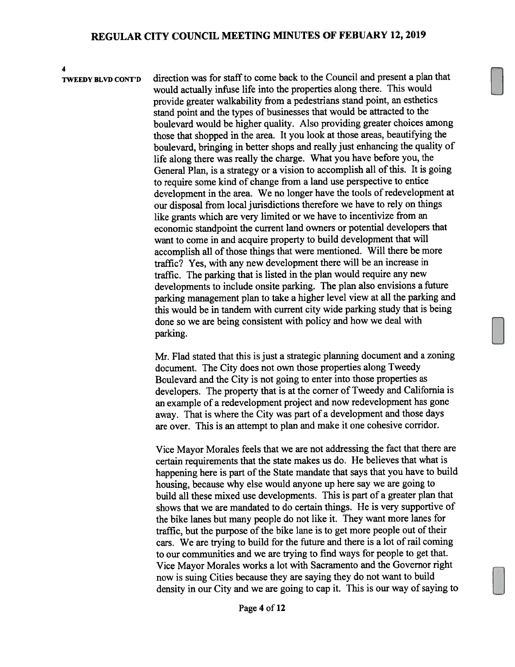4

TWEEDY BLVD CONT'D direction was for staff to come back to the Council and presen<sup>t</sup> <sup>a</sup> plan that would actually infuse life into the properties along there. This would provide greater walkability from <sup>a</sup> pedestrians stand point, an esthetics stand point and the types of businesses that would be attracted to the boulevard would be higher quality. Also providing greater choices among those that shopped in the area. It you look at those areas, beautifying the boulevard, bringing in better shops and really just enhancing the quality of life along there was really the charge. What you have before you, the General Plan, is <sup>a</sup> strategy or <sup>a</sup> vision to accomplish all of this. It is going to require some kind of change from <sup>a</sup> land use perspective to entice development in the area. We no longer have the tools of redevelopment at our disposal from local jurisdictions therefore we have to rely on things like grants which are very limited or we have to incentivize from an economic standpoint the current land owners or potential developers that want to come in and acquire property to build development that will accomplish all of those things that were mentioned. Will there be more traffic? Yes, with any new development there will be an increase in traffic. The parking that is listed in the <sup>p</sup>lan would require any new developments to include onsite parking. The <sup>p</sup>lan also envisions <sup>a</sup> future parking managemen<sup>t</sup> <sup>p</sup>lan to take <sup>a</sup> higher level view at all the parking and this would be in tandem with current city wide parking study that is being done so we are being consistent with policy and how we deal with parking.

> Mr. Flad stated that this is just <sup>a</sup> strategic <sup>p</sup>lanning document and <sup>a</sup> zoning document. The City does not own those properties along Tweedy Boulevard and the City is not going to enter into those properties as developers. The property that is at the corner of Tweedy and California is an example of <sup>a</sup> redevelopment project and now redevelopment has gone away. That is where the City was par<sup>t</sup> of <sup>a</sup> development and those days are over. This is an attempt to <sup>p</sup>lan and make it one cohesive corridor.

Vice Mayor Morales feels that we are not addressing the fact that there are certain requirements that the state makes us do. He believes that what is happening here is par<sup>t</sup> of the State mandate that says that you have to build housing, because why else would anyone up here say we are going to build all these mixed use developments. This is par<sup>t</sup> of <sup>a</sup> greater plan that shows that we are mandated to do certain things. He is very supportive of the bike lanes but many people do not like it. They want more lanes for traffic, but the purpose of the bike lane is to get more people out of their cars. We are trying to build for the future and there is a lot of rail coming to our comnnmities and we are trying to find ways for people to ge<sup>t</sup> that. Vice Mayor Morales works <sup>a</sup> lot with Sacramento and the Governor right now is suing Cities because they are saying they do not want to build density in our City and we are going to cap it. This is our way of saying to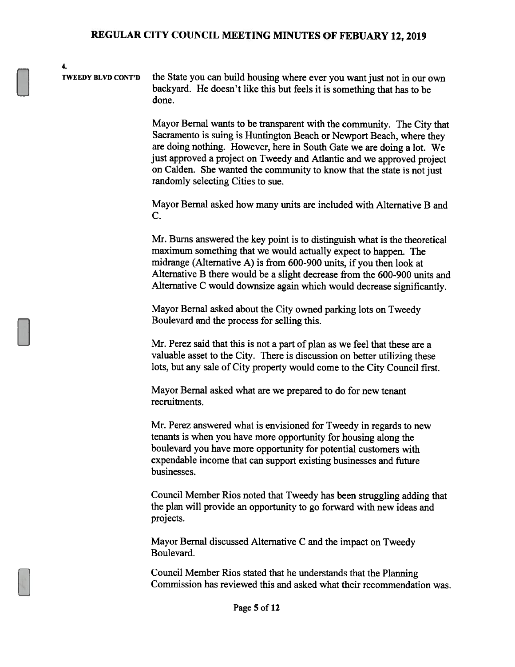TWEEDY BLVD CONT'D the State you can build housing where ever you want just not in our own backyard. He doesn't like this but feels it is something that has to be done.

4.

Mayor Bernal wants to be transparent with the community. The City that Sacramento is suing is Huntington Beach or Newport Beach, where they are doing nothing. However, here in South Gate we are doing a lot. We just approved a project on Tweedy and Atlantic and we approved project on Calden. She wanted the community to know that the state is not just randomly selecting Cities to sue.

Mayor Bernal asked how many units are included with Alternative B and C.

Mr. Burns answered the key point is to distinguish what is the theoretical maximum something that we would actually expect to happen. The midrange (Alternative A) is from 600-900 units, if you then look at Alternative B there would be a slight decrease from the 600-900 units and Alternative C would downsize again which would decrease significantly.

Mayor Bernal asked about the City owned parking lots on Tweedy Boulevard and the process for selling this.

Mr. Perez said that this is not a part of plan as we feel that these are a valuable asset to the City. There is discussion on better utilizing these lots, but any sale of City property would come to the City Council first.

Mayor Bernal asked what are we prepared to do for new tenant recruitments.

Mr. Perez answered what is envisioned for Tweedy in regards to new tenants is when you have more opportunity for housing along the boulevard you have more opportunity for potential customers with expendable income that can support existing businesses and future businesses.

Council Member Rios noted that Tweedy has been struggling adding that the plan will provide an opportunity to go forward with new ideas and projects.

Mayor Bernal discussed Alternative C and the impact on Tweedy Boulevard.

Council Member Rios stated that he understands that the Planning Commission has reviewed this and asked what their recommendation was.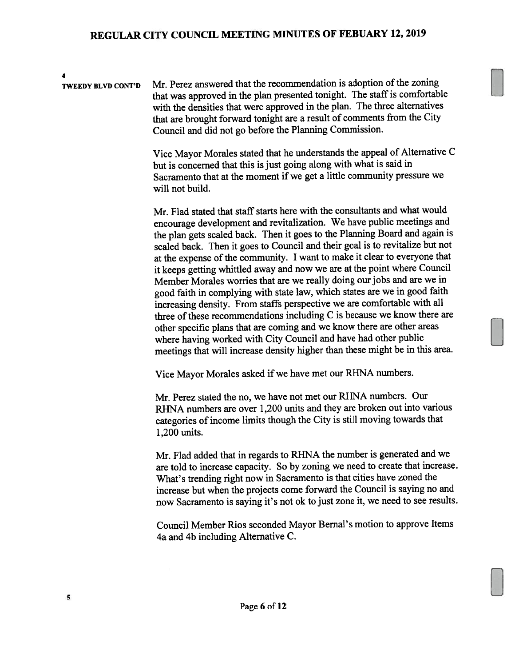4 TWEEDY BLVD CONT'D Mr. Perez answered that the recommendation is adoption of the zoning that was approved in the plan presented tonight. The staff is comfortable with the densities that were approve<sup>d</sup> in the <sup>p</sup>lan. The three alternatives that are brought forward tonight are <sup>a</sup> result of comments from the City Council and did not go before the Planning Commission.

> Vice Mayor Morales stated that he understands the appea<sup>l</sup> of Alternative <sup>C</sup> hut is concerned that this is just going along with what is said in Sacramento that at the moment if we ge<sup>t</sup> <sup>a</sup> little community pressure we will not build.

> Mr. Flad stated that staff starts here with the consultants and what would encourage development and revitalization. We have public meetings and the <sup>p</sup>lan gets scaled back. Then it goes to the Planning Board and again is scaled back. Then it goes to Council and their goa<sup>l</sup> is to revitalize but not at the expense of the community. I want to make it clear to everyone that it keeps getting whittled away and now we are at the point where Council Member Morales worries that are we really doing our jobs and are we in goo<sup>d</sup> faith in complying with state law, which states are we in goo<sup>d</sup> faith increasing density. From staffs perspective we are comfortable with all three of these recommendations including C is because we know there are other specific <sup>p</sup>lans that are coming and we know there are other areas where having worked with City Council and have had other public meetings that will increase density higher than these might be in this area.

Vice Mayor Morales asked if we have met our RHNA numbers.

Mr. Perez stated the no, we have not met our RHNA numbers. Our RHNA numbers are over 1,200 units and they are broken out into various categories of income limits though the City is still moving towards that 1,200 units.

Mr. Flad added that in regards to RENA the number is generated and we are told to increase capacity. So by zoning we need to create that increase. What's trending right now in Sacramento is that cities have zoned the increase but when the projects come forward the Council is saying no and now Sacramento is saying it's not ok to just zone it, we need to see results.

Council Member Rios seconded Mayor Bernal's motion to approve Items 4a and 4b including Alternative C.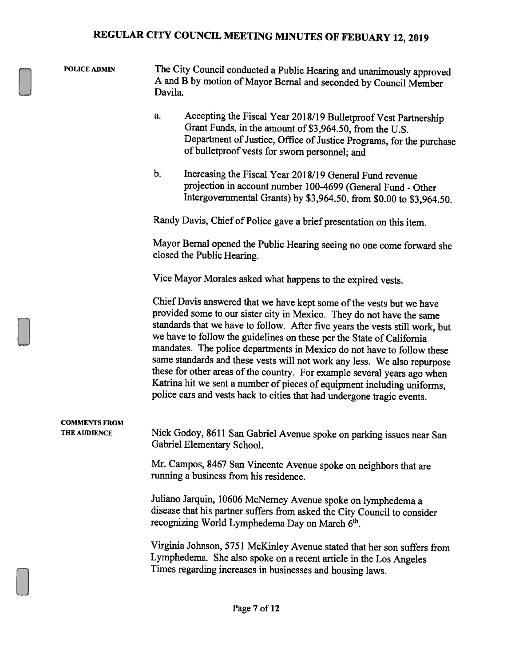| <b>POLICE ADMIN</b>                  | The City Council conducted a Public Hearing and unanimously approved<br>A and B by motion of Mayor Bernal and seconded by Council Member<br>Davila.                                                                                                                                                                                                                                                                                                                                                                                                                                                                                                                                           |  |  |  |
|--------------------------------------|-----------------------------------------------------------------------------------------------------------------------------------------------------------------------------------------------------------------------------------------------------------------------------------------------------------------------------------------------------------------------------------------------------------------------------------------------------------------------------------------------------------------------------------------------------------------------------------------------------------------------------------------------------------------------------------------------|--|--|--|
|                                      | a.<br>Accepting the Fiscal Year 2018/19 Bulletproof Vest Partnership<br>Grant Funds, in the amount of \$3,964.50, from the U.S.<br>Department of Justice, Office of Justice Programs, for the purchase<br>of bulletproof vests for sworn personnel; and                                                                                                                                                                                                                                                                                                                                                                                                                                       |  |  |  |
|                                      | b.<br>Increasing the Fiscal Year 2018/19 General Fund revenue<br>projection in account number 100-4699 (General Fund - Other<br>Intergovernmental Grants) by \$3,964.50, from \$0.00 to \$3,964.50.                                                                                                                                                                                                                                                                                                                                                                                                                                                                                           |  |  |  |
|                                      | Randy Davis, Chief of Police gave a brief presentation on this item.                                                                                                                                                                                                                                                                                                                                                                                                                                                                                                                                                                                                                          |  |  |  |
|                                      | Mayor Bernal opened the Public Hearing seeing no one come forward she<br>closed the Public Hearing.                                                                                                                                                                                                                                                                                                                                                                                                                                                                                                                                                                                           |  |  |  |
|                                      | Vice Mayor Morales asked what happens to the expired vests.                                                                                                                                                                                                                                                                                                                                                                                                                                                                                                                                                                                                                                   |  |  |  |
|                                      | Chief Davis answered that we have kept some of the vests but we have<br>provided some to our sister city in Mexico. They do not have the same<br>standards that we have to follow. After five years the vests still work, but<br>we have to follow the guidelines on these per the State of California<br>mandates. The police departments in Mexico do not have to follow these<br>same standards and these vests will not work any less. We also repurpose<br>these for other areas of the country. For example several years ago when<br>Katrina hit we sent a number of pieces of equipment including uniforms,<br>police cars and vests back to cities that had undergone tragic events. |  |  |  |
| <b>COMMENTS FROM</b><br>THE AUDIENCE | Nick Godoy, 8611 San Gabriel Avenue spoke on parking issues near San<br>Gabriel Elementary School.                                                                                                                                                                                                                                                                                                                                                                                                                                                                                                                                                                                            |  |  |  |
|                                      | Mr. Campos, 8467 San Vincente Avenue spoke on neighbors that are<br>running a business from his residence.                                                                                                                                                                                                                                                                                                                                                                                                                                                                                                                                                                                    |  |  |  |
|                                      | Juliano Jarquin, 10606 McNerney Avenue spoke on lymphedema a<br>disease that his partner suffers from asked the City Council to consider<br>recognizing World Lymphedema Day on March 6th.                                                                                                                                                                                                                                                                                                                                                                                                                                                                                                    |  |  |  |
|                                      | Virginia Johnson, 5751 McKinley Avenue stated that her son suffers from<br>Lymphedema. She also spoke on a recent article in the Los Angeles<br>Times regarding increases in businesses and housing laws.                                                                                                                                                                                                                                                                                                                                                                                                                                                                                     |  |  |  |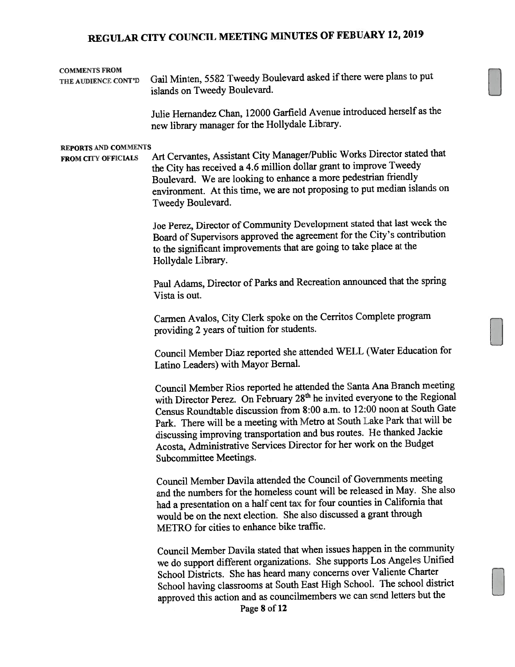| <b>COMMENTS FROM</b><br>THE AUDIENCE CONT'D               | Gail Minten, 5582 Tweedy Boulevard asked if there were plans to put<br>islands on Tweedy Boulevard.                                                                                                                                                                                                                                                                                                                                                                                             |
|-----------------------------------------------------------|-------------------------------------------------------------------------------------------------------------------------------------------------------------------------------------------------------------------------------------------------------------------------------------------------------------------------------------------------------------------------------------------------------------------------------------------------------------------------------------------------|
|                                                           | Julie Hernandez Chan, 12000 Garfield Avenue introduced herself as the<br>new library manager for the Hollydale Library.                                                                                                                                                                                                                                                                                                                                                                         |
| <b>REPORTS AND COMMENTS</b><br><b>FROM CITY OFFICIALS</b> | Art Cervantes, Assistant City Manager/Public Works Director stated that<br>the City has received a 4.6 million dollar grant to improve Tweedy<br>Boulevard. We are looking to enhance a more pedestrian friendly<br>environment. At this time, we are not proposing to put median islands on<br>Tweedy Boulevard.                                                                                                                                                                               |
|                                                           | Joe Perez, Director of Community Development stated that last week the<br>Board of Supervisors approved the agreement for the City's contribution<br>to the significant improvements that are going to take place at the<br>Hollydale Library.                                                                                                                                                                                                                                                  |
|                                                           | Paul Adams, Director of Parks and Recreation announced that the spring<br>Vista is out.                                                                                                                                                                                                                                                                                                                                                                                                         |
|                                                           | Carmen Avalos, City Clerk spoke on the Cerritos Complete program<br>providing 2 years of tuition for students.                                                                                                                                                                                                                                                                                                                                                                                  |
|                                                           | Council Member Diaz reported she attended WELL (Water Education for<br>Latino Leaders) with Mayor Bernal.                                                                                                                                                                                                                                                                                                                                                                                       |
|                                                           | Council Member Rios reported he attended the Santa Ana Branch meeting<br>with Director Perez. On February 28 <sup>th</sup> he invited everyone to the Regional<br>Census Roundtable discussion from 8:00 a.m. to 12:00 noon at South Gate<br>Park. There will be a meeting with Metro at South Lake Park that will be<br>discussing improving transportation and bus routes. He thanked Jackie<br>Acosta, Administrative Services Director for her work on the Budget<br>Subcommittee Meetings. |
|                                                           | Council Member Davila attended the Council of Governments meeting<br>and the numbers for the homeless count will be released in May. She also<br>had a presentation on a half cent tax for four counties in California that<br>would be on the next election. She also discussed a grant through<br>METRO for cities to enhance bike traffic.                                                                                                                                                   |
|                                                           | Council Member Davila stated that when issues happen in the community<br>we do support different organizations. She supports Los Angeles Unified<br>School Districts. She has heard many concerns over Valiente Charter<br>School having classrooms at South East High School. The school district                                                                                                                                                                                              |

approve<sup>d</sup> this action and as councilmembers we can send letters but the Page 8 of 12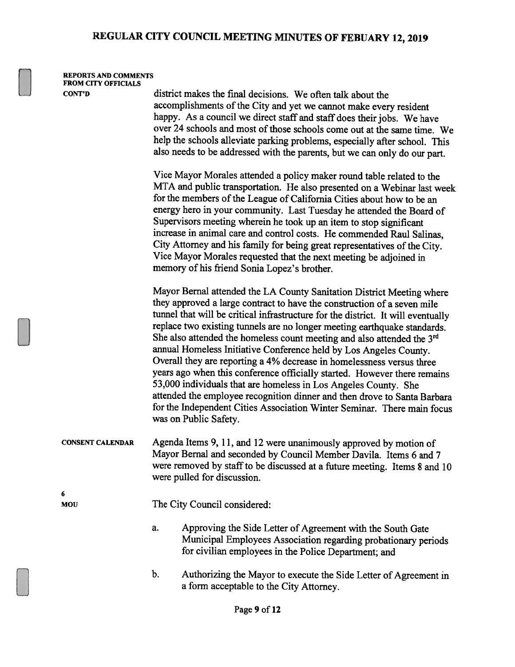#### REPORTS AND COMMENTS FROM CITY OFFICIALS

CONT'D district makes the final decisions. We often talk about the accomplishments of the City and yet we cannot make every resident happy. As <sup>a</sup> council we direct staff and staff does their jobs. We have over 24 schools and most of those schools come out at the same time. We help the schools alleviate parking problems, especially after school. This also needs to be addressed with the parents, but we can only do our part.

> Vice Mayor Morales attended <sup>a</sup> policy maker round table related to the MTA and public transportation. He also presented on <sup>a</sup> Webinar last week for the members of the League of California Cities about how to be an energy hero in your community. Last Tuesday he attended the Board of Supervisors meeting wherein he took up an item to stop significant increase in animal care and control costs. He commended Raul Salinas, City Attorney and his family for being great representatives of the City. Vice Mayor Morales requested that the next meeting be adjoined in memory of his friend Sonia Lopez's brother.

Mayor Bernal attended the LA County Sanitation District Meeting where they approved <sup>a</sup> large contract to have the construction of <sup>a</sup> seven mile tunnel that will be critical infrastructure for the district. It will eventually replace two existing tunnels are no longer meeting earthquake standards. She also attended the homeless count meeting and also attended the 3<sup>rd</sup> annual Homeless Initiative Conference held by Los Angeles County. Overall they are reporting <sup>a</sup> 4% decrease in homelessness versus three years ago when this conference officially started. However there remains 53,000 individuals that are homeless in Los Angeles County. She attended the employee recognition dinner and then drove to Santa Barbara for the Independent Cities Association Winter Seminar. There main focus was on Public Safety.

CONSENT CALENDAR Agenda Items 9, 11, and <sup>12</sup> were unanimously approved by motion of Mayor Bernal and seconded by Council Member Davila. Items 6 and 7 were removed by staff to be discussed at a future meeting. Items 8 and 10 were pulled for discussion.

6

MOU The City Council considered:

- a. Approving the Side Letter of Agreement with the South Gate Municipal Employees Association regarding probationary periods for civilian employees in the Police Department; and
- b. Authorizing the Mayor to execute the Side Letter of Agreement in <sup>a</sup> form acceptable to the City Attorney.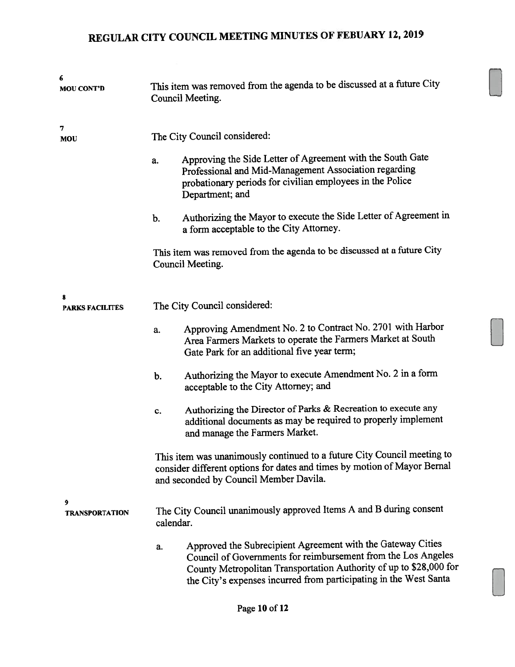| 6<br><b>MOU CONT'D</b>      | This item was removed from the agenda to be discussed at a future City<br>Council Meeting.                                                                                                    |                                                                                                                                                                                                                                                                         |  |  |
|-----------------------------|-----------------------------------------------------------------------------------------------------------------------------------------------------------------------------------------------|-------------------------------------------------------------------------------------------------------------------------------------------------------------------------------------------------------------------------------------------------------------------------|--|--|
| 7<br>MOU                    | The City Council considered:                                                                                                                                                                  |                                                                                                                                                                                                                                                                         |  |  |
|                             | a.                                                                                                                                                                                            | Approving the Side Letter of Agreement with the South Gate<br>Professional and Mid-Management Association regarding<br>probationary periods for civilian employees in the Police<br>Department; and                                                                     |  |  |
|                             | b.                                                                                                                                                                                            | Authorizing the Mayor to execute the Side Letter of Agreement in<br>a form acceptable to the City Attorney.                                                                                                                                                             |  |  |
|                             |                                                                                                                                                                                               | This item was removed from the agenda to be discussed at a future City<br>Council Meeting.                                                                                                                                                                              |  |  |
| 8<br><b>PARKS FACILITES</b> | The City Council considered:                                                                                                                                                                  |                                                                                                                                                                                                                                                                         |  |  |
|                             | a.                                                                                                                                                                                            | Approving Amendment No. 2 to Contract No. 2701 with Harbor<br>Area Farmers Markets to operate the Farmers Market at South<br>Gate Park for an additional five year term;                                                                                                |  |  |
|                             | b.                                                                                                                                                                                            | Authorizing the Mayor to execute Amendment No. 2 in a form<br>acceptable to the City Attorney; and                                                                                                                                                                      |  |  |
|                             | c.                                                                                                                                                                                            | Authorizing the Director of Parks & Recreation to execute any<br>additional documents as may be required to properly implement<br>and manage the Farmers Market.                                                                                                        |  |  |
|                             | This item was unanimously continued to a future City Council meeting to<br>consider different options for dates and times by motion of Mayor Bernal<br>and seconded by Council Member Davila. |                                                                                                                                                                                                                                                                         |  |  |
| 9<br><b>TRANSPORTATION</b>  | calendar.                                                                                                                                                                                     | The City Council unanimously approved Items A and B during consent                                                                                                                                                                                                      |  |  |
|                             | a.                                                                                                                                                                                            | Approved the Subrecipient Agreement with the Gateway Cities<br>Council of Governments for reimbursement from the Los Angeles<br>County Metropolitan Transportation Authority of up to \$28,000 for<br>the City's expenses incurred from participating in the West Santa |  |  |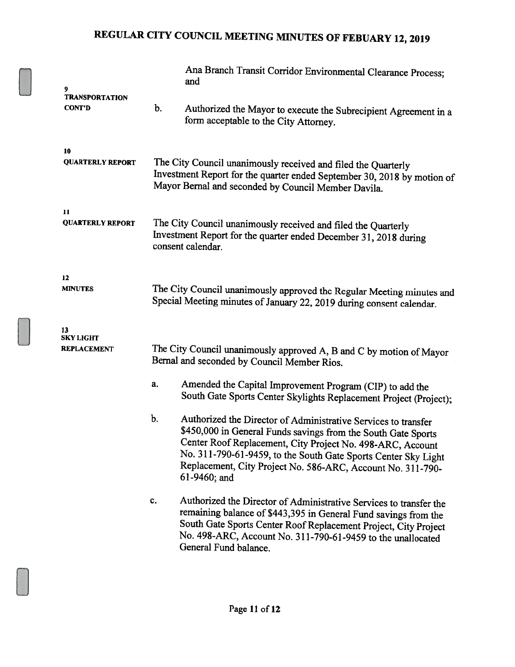| 9                                      |                                                                                                                                                                                                 | Ana Branch Transit Corridor Environmental Clearance Process;<br>and                                                                                                                                                                                                                                                                            |  |
|----------------------------------------|-------------------------------------------------------------------------------------------------------------------------------------------------------------------------------------------------|------------------------------------------------------------------------------------------------------------------------------------------------------------------------------------------------------------------------------------------------------------------------------------------------------------------------------------------------|--|
| <b>TRANSPORTATION</b><br><b>CONT'D</b> | b.                                                                                                                                                                                              | Authorized the Mayor to execute the Subrecipient Agreement in a<br>form acceptable to the City Attorney.                                                                                                                                                                                                                                       |  |
| 10<br><b>QUARTERLY REPORT</b>          | The City Council unanimously received and filed the Quarterly<br>Investment Report for the quarter ended September 30, 2018 by motion of<br>Mayor Bernal and seconded by Council Member Davila. |                                                                                                                                                                                                                                                                                                                                                |  |
| 11<br><b>QUARTERLY REPORT</b>          | The City Council unanimously received and filed the Quarterly<br>Investment Report for the quarter ended December 31, 2018 during<br>consent calendar.                                          |                                                                                                                                                                                                                                                                                                                                                |  |
| 12<br><b>MINUTES</b>                   | The City Council unanimously approved the Regular Meeting minutes and<br>Special Meeting minutes of January 22, 2019 during consent calendar.                                                   |                                                                                                                                                                                                                                                                                                                                                |  |
| 13<br><b>SKY LIGHT</b><br>REPLACEMENT  |                                                                                                                                                                                                 | The City Council unanimously approved A, B and C by motion of Mayor<br>Bernal and seconded by Council Member Rios.                                                                                                                                                                                                                             |  |
|                                        | a.                                                                                                                                                                                              | Amended the Capital Improvement Program (CIP) to add the<br>South Gate Sports Center Skylights Replacement Project (Project);                                                                                                                                                                                                                  |  |
|                                        | b.                                                                                                                                                                                              | Authorized the Director of Administrative Services to transfer<br>\$450,000 in General Funds savings from the South Gate Sports<br>Center Roof Replacement, City Project No. 498-ARC, Account<br>No. 311-790-61-9459, to the South Gate Sports Center Sky Light<br>Replacement, City Project No. 586-ARC, Account No. 311-790-<br>61-9460; and |  |
|                                        | c.                                                                                                                                                                                              | Authorized the Director of Administrative Services to transfer the<br>remaining balance of \$443,395 in General Fund savings from the<br>South Gate Sports Center Roof Replacement Project, City Project<br>No. 498-ARC, Account No. 311-790-61-9459 to the unallocated<br>General Fund balance.                                               |  |